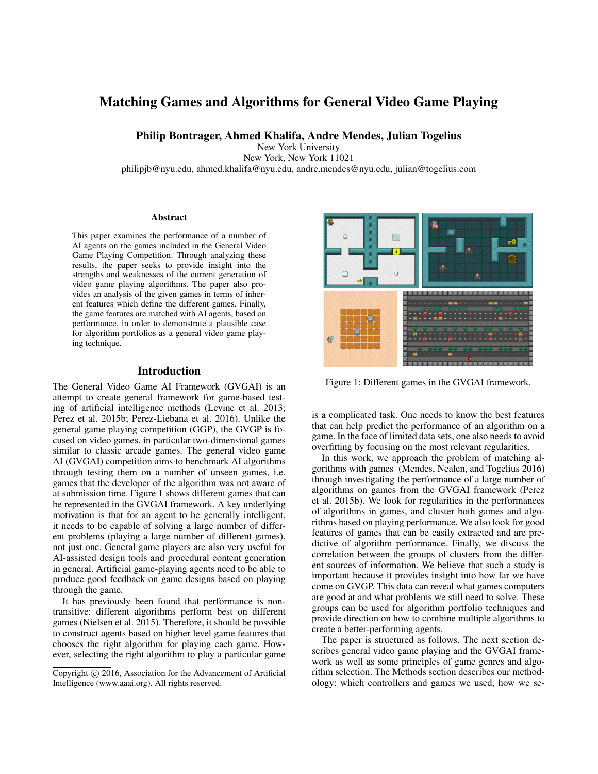# Matching Games and Algorithms for General Video Game Playing

Philip Bontrager, Ahmed Khalifa, Andre Mendes, Julian Togelius

New York University

New York, New York 11021

philipjb@nyu.edu, ahmed.khalifa@nyu.edu, andre.mendes@nyu.edu, julian@togelius.com

#### Abstract

This paper examines the performance of a number of AI agents on the games included in the General Video Game Playing Competition. Through analyzing these results, the paper seeks to provide insight into the strengths and weaknesses of the current generation of video game playing algorithms. The paper also provides an analysis of the given games in terms of inherent features which define the different games. Finally, the game features are matched with AI agents, based on performance, in order to demonstrate a plausible case for algorithm portfolios as a general video game playing technique.

## Introduction

The General Video Game AI Framework (GVGAI) is an attempt to create general framework for game-based testing of artificial intelligence methods (Levine et al. 2013; Perez et al. 2015b; Perez-Liebana et al. 2016). Unlike the general game playing competition (GGP), the GVGP is focused on video games, in particular two-dimensional games similar to classic arcade games. The general video game AI (GVGAI) competition aims to benchmark AI algorithms through testing them on a number of unseen games, i.e. games that the developer of the algorithm was not aware of at submission time. Figure 1 shows different games that can be represented in the GVGAI framework. A key underlying motivation is that for an agent to be generally intelligent, it needs to be capable of solving a large number of different problems (playing a large number of different games), not just one. General game players are also very useful for AI-assisted design tools and procedural content generation in general. Artificial game-playing agents need to be able to produce good feedback on game designs based on playing through the game.

It has previously been found that performance is nontransitive: different algorithms perform best on different games (Nielsen et al. 2015). Therefore, it should be possible to construct agents based on higher level game features that chooses the right algorithm for playing each game. However, selecting the right algorithm to play a particular game



Figure 1: Different games in the GVGAI framework.

is a complicated task. One needs to know the best features that can help predict the performance of an algorithm on a game. In the face of limited data sets, one also needs to avoid overfitting by focusing on the most relevant regularities.

In this work, we approach the problem of matching algorithms with games (Mendes, Nealen, and Togelius 2016) through investigating the performance of a large number of algorithms on games from the GVGAI framework (Perez et al. 2015b). We look for regularities in the performances of algorithms in games, and cluster both games and algorithms based on playing performance. We also look for good features of games that can be easily extracted and are predictive of algorithm performance. Finally, we discuss the correlation between the groups of clusters from the different sources of information. We believe that such a study is important because it provides insight into how far we have come on GVGP. This data can reveal what games computers are good at and what problems we still need to solve. These groups can be used for algorithm portfolio techniques and provide direction on how to combine multiple algorithms to create a better-performing agents.

The paper is structured as follows. The next section describes general video game playing and the GVGAI framework as well as some principles of game genres and algorithm selection. The Methods section describes our methodology: which controllers and games we used, how we se-

Copyright  $\odot$  2016, Association for the Advancement of Artificial Intelligence (www.aaai.org). All rights reserved.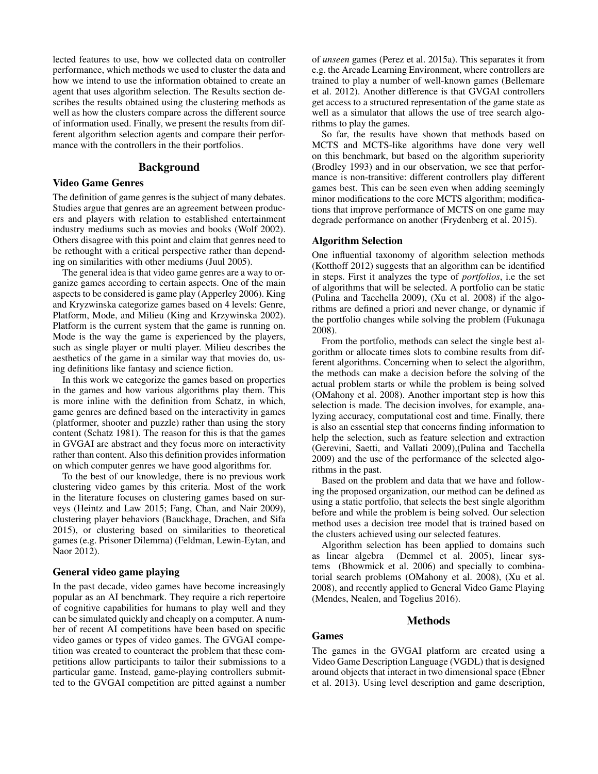lected features to use, how we collected data on controller performance, which methods we used to cluster the data and how we intend to use the information obtained to create an agent that uses algorithm selection. The Results section describes the results obtained using the clustering methods as well as how the clusters compare across the different source of information used. Finally, we present the results from different algorithm selection agents and compare their performance with the controllers in the their portfolios.

## Background

#### Video Game Genres

The definition of game genres is the subject of many debates. Studies argue that genres are an agreement between producers and players with relation to established entertainment industry mediums such as movies and books (Wolf 2002). Others disagree with this point and claim that genres need to be rethought with a critical perspective rather than depending on similarities with other mediums (Juul 2005).

The general idea is that video game genres are a way to organize games according to certain aspects. One of the main aspects to be considered is game play (Apperley 2006). King and Kryzwinska categorize games based on 4 levels: Genre, Platform, Mode, and Milieu (King and Krzywinska 2002). Platform is the current system that the game is running on. Mode is the way the game is experienced by the players, such as single player or multi player. Milieu describes the aesthetics of the game in a similar way that movies do, using definitions like fantasy and science fiction.

In this work we categorize the games based on properties in the games and how various algorithms play them. This is more inline with the definition from Schatz, in which, game genres are defined based on the interactivity in games (platformer, shooter and puzzle) rather than using the story content (Schatz 1981). The reason for this is that the games in GVGAI are abstract and they focus more on interactivity rather than content. Also this definition provides information on which computer genres we have good algorithms for.

To the best of our knowledge, there is no previous work clustering video games by this criteria. Most of the work in the literature focuses on clustering games based on surveys (Heintz and Law 2015; Fang, Chan, and Nair 2009), clustering player behaviors (Bauckhage, Drachen, and Sifa 2015), or clustering based on similarities to theoretical games (e.g. Prisoner Dilemma) (Feldman, Lewin-Eytan, and Naor 2012).

#### General video game playing

In the past decade, video games have become increasingly popular as an AI benchmark. They require a rich repertoire of cognitive capabilities for humans to play well and they can be simulated quickly and cheaply on a computer. A number of recent AI competitions have been based on specific video games or types of video games. The GVGAI competition was created to counteract the problem that these competitions allow participants to tailor their submissions to a particular game. Instead, game-playing controllers submitted to the GVGAI competition are pitted against a number

of *unseen* games (Perez et al. 2015a). This separates it from e.g. the Arcade Learning Environment, where controllers are trained to play a number of well-known games (Bellemare et al. 2012). Another difference is that GVGAI controllers get access to a structured representation of the game state as well as a simulator that allows the use of tree search algorithms to play the games.

So far, the results have shown that methods based on MCTS and MCTS-like algorithms have done very well on this benchmark, but based on the algorithm superiority (Brodley 1993) and in our observation, we see that performance is non-transitive: different controllers play different games best. This can be seen even when adding seemingly minor modifications to the core MCTS algorithm; modifications that improve performance of MCTS on one game may degrade performance on another (Frydenberg et al. 2015).

## Algorithm Selection

One influential taxonomy of algorithm selection methods (Kotthoff 2012) suggests that an algorithm can be identified in steps. First it analyzes the type of *portfolios*, i.e the set of algorithms that will be selected. A portfolio can be static (Pulina and Tacchella 2009), (Xu et al. 2008) if the algorithms are defined a priori and never change, or dynamic if the portfolio changes while solving the problem (Fukunaga 2008).

From the portfolio, methods can select the single best algorithm or allocate times slots to combine results from different algorithms. Concerning when to select the algorithm, the methods can make a decision before the solving of the actual problem starts or while the problem is being solved (OMahony et al. 2008). Another important step is how this selection is made. The decision involves, for example, analyzing accuracy, computational cost and time. Finally, there is also an essential step that concerns finding information to help the selection, such as feature selection and extraction (Gerevini, Saetti, and Vallati 2009),(Pulina and Tacchella 2009) and the use of the performance of the selected algorithms in the past.

Based on the problem and data that we have and following the proposed organization, our method can be defined as using a static portfolio, that selects the best single algorithm before and while the problem is being solved. Our selection method uses a decision tree model that is trained based on the clusters achieved using our selected features.

Algorithm selection has been applied to domains such as linear algebra (Demmel et al. 2005), linear systems (Bhowmick et al. 2006) and specially to combinatorial search problems (OMahony et al. 2008), (Xu et al. 2008), and recently applied to General Video Game Playing (Mendes, Nealen, and Togelius 2016).

#### Methods

## Games

The games in the GVGAI platform are created using a Video Game Description Language (VGDL) that is designed around objects that interact in two dimensional space (Ebner et al. 2013). Using level description and game description,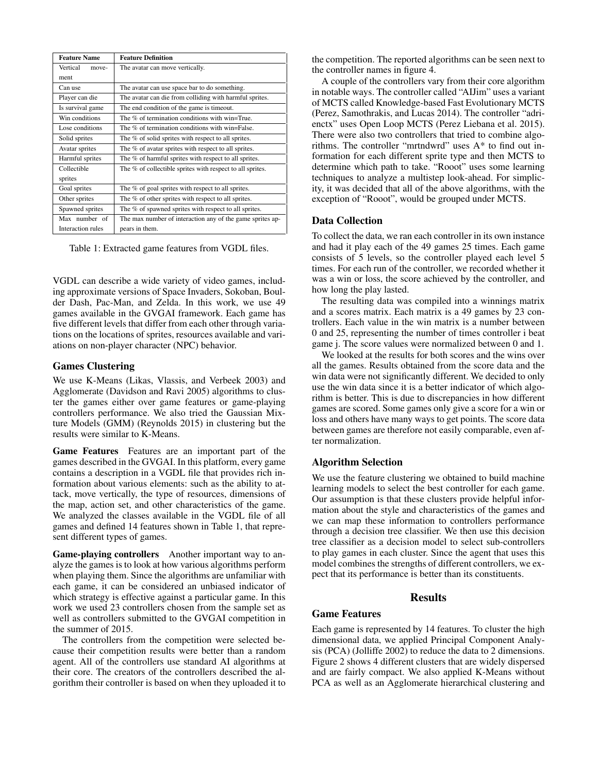| <b>Feature Name</b> | <b>Feature Definition</b>                                 |  |
|---------------------|-----------------------------------------------------------|--|
| Vertical<br>move-   | The avatar can move vertically.                           |  |
| ment                |                                                           |  |
| Can use             | The avatar can use space bar to do something.             |  |
| Player can die      | The avatar can die from colliding with harmful sprites.   |  |
| Is survival game    | The end condition of the game is timeout.                 |  |
| Win conditions      | The % of termination conditions with win=True.            |  |
| Lose conditions     | The % of termination conditions with win=False.           |  |
| Solid sprites       | The % of solid sprites with respect to all sprites.       |  |
| Avatar sprites      | The % of avatar sprites with respect to all sprites.      |  |
| Harmful sprites     | The % of harmful sprites with respect to all sprites.     |  |
| Collectible         | The % of collectible sprites with respect to all sprites. |  |
| sprites             |                                                           |  |
| Goal sprites        | The % of goal sprites with respect to all sprites.        |  |
| Other sprites       | The % of other sprites with respect to all sprites.       |  |
| Spawned sprites     | The % of spawned sprites with respect to all sprites.     |  |
| Max number of       | The max number of interaction any of the game sprites ap- |  |
| Interaction rules   | pears in them.                                            |  |

Table 1: Extracted game features from VGDL files.

VGDL can describe a wide variety of video games, including approximate versions of Space Invaders, Sokoban, Boulder Dash, Pac-Man, and Zelda. In this work, we use 49 games available in the GVGAI framework. Each game has five different levels that differ from each other through variations on the locations of sprites, resources available and variations on non-player character (NPC) behavior.

## Games Clustering

We use K-Means (Likas, Vlassis, and Verbeek 2003) and Agglomerate (Davidson and Ravi 2005) algorithms to cluster the games either over game features or game-playing controllers performance. We also tried the Gaussian Mixture Models (GMM) (Reynolds 2015) in clustering but the results were similar to K-Means.

Game Features Features are an important part of the games described in the GVGAI. In this platform, every game contains a description in a VGDL file that provides rich information about various elements: such as the ability to attack, move vertically, the type of resources, dimensions of the map, action set, and other characteristics of the game. We analyzed the classes available in the VGDL file of all games and defined 14 features shown in Table 1, that represent different types of games.

Game-playing controllers Another important way to analyze the games is to look at how various algorithms perform when playing them. Since the algorithms are unfamiliar with each game, it can be considered an unbiased indicator of which strategy is effective against a particular game. In this work we used 23 controllers chosen from the sample set as well as controllers submitted to the GVGAI competition in the summer of 2015.

The controllers from the competition were selected because their competition results were better than a random agent. All of the controllers use standard AI algorithms at their core. The creators of the controllers described the algorithm their controller is based on when they uploaded it to the competition. The reported algorithms can be seen next to the controller names in figure 4.

A couple of the controllers vary from their core algorithm in notable ways. The controller called "AIJim" uses a variant of MCTS called Knowledge-based Fast Evolutionary MCTS (Perez, Samothrakis, and Lucas 2014). The controller "adrienctx" uses Open Loop MCTS (Perez Liebana et al. 2015). There were also two controllers that tried to combine algorithms. The controller "mrtndwrd" uses A\* to find out information for each different sprite type and then MCTS to determine which path to take. "Rooot" uses some learning techniques to analyze a multistep look-ahead. For simplicity, it was decided that all of the above algorithms, with the exception of "Rooot", would be grouped under MCTS.

## Data Collection

To collect the data, we ran each controller in its own instance and had it play each of the 49 games 25 times. Each game consists of 5 levels, so the controller played each level 5 times. For each run of the controller, we recorded whether it was a win or loss, the score achieved by the controller, and how long the play lasted.

The resulting data was compiled into a winnings matrix and a scores matrix. Each matrix is a 49 games by 23 controllers. Each value in the win matrix is a number between 0 and 25, representing the number of times controller i beat game j. The score values were normalized between 0 and 1.

We looked at the results for both scores and the wins over all the games. Results obtained from the score data and the win data were not significantly different. We decided to only use the win data since it is a better indicator of which algorithm is better. This is due to discrepancies in how different games are scored. Some games only give a score for a win or loss and others have many ways to get points. The score data between games are therefore not easily comparable, even after normalization.

## Algorithm Selection

We use the feature clustering we obtained to build machine learning models to select the best controller for each game. Our assumption is that these clusters provide helpful information about the style and characteristics of the games and we can map these information to controllers performance through a decision tree classifier. We then use this decision tree classifier as a decision model to select sub-controllers to play games in each cluster. Since the agent that uses this model combines the strengths of different controllers, we expect that its performance is better than its constituents.

## **Results**

#### Game Features

Each game is represented by 14 features. To cluster the high dimensional data, we applied Principal Component Analysis (PCA) (Jolliffe 2002) to reduce the data to 2 dimensions. Figure 2 shows 4 different clusters that are widely dispersed and are fairly compact. We also applied K-Means without PCA as well as an Agglomerate hierarchical clustering and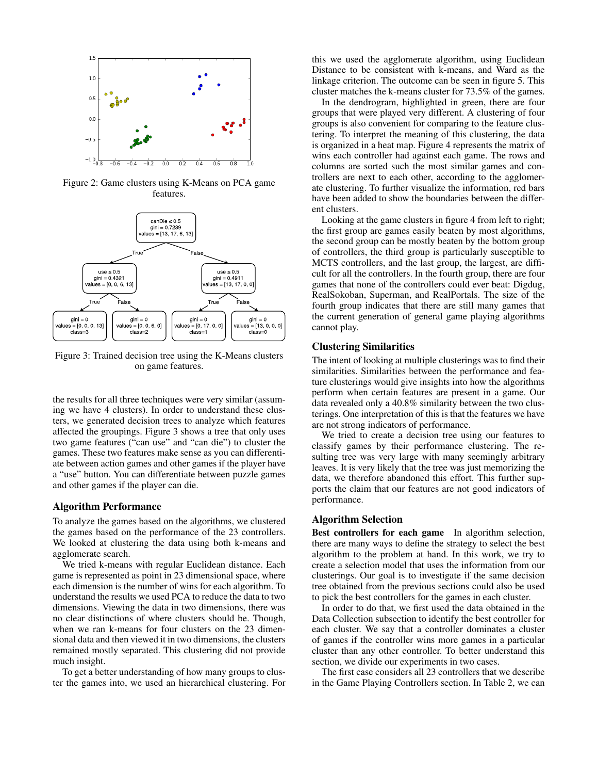

Figure 2: Game clusters using K-Means on PCA game features.



Figure 3: Trained decision tree using the K-Means clusters on game features.

the results for all three techniques were very similar (assuming we have 4 clusters). In order to understand these clusters, we generated decision trees to analyze which features affected the groupings. Figure 3 shows a tree that only uses two game features ("can use" and "can die") to cluster the games. These two features make sense as you can differentiate between action games and other games if the player have a "use" button. You can differentiate between puzzle games and other games if the player can die.

#### Algorithm Performance

To analyze the games based on the algorithms, we clustered the games based on the performance of the 23 controllers. We looked at clustering the data using both k-means and agglomerate search.

We tried k-means with regular Euclidean distance. Each game is represented as point in 23 dimensional space, where each dimension is the number of wins for each algorithm. To understand the results we used PCA to reduce the data to two dimensions. Viewing the data in two dimensions, there was no clear distinctions of where clusters should be. Though, when we ran k-means for four clusters on the 23 dimensional data and then viewed it in two dimensions, the clusters remained mostly separated. This clustering did not provide much insight.

To get a better understanding of how many groups to cluster the games into, we used an hierarchical clustering. For

this we used the agglomerate algorithm, using Euclidean Distance to be consistent with k-means, and Ward as the linkage criterion. The outcome can be seen in figure 5. This cluster matches the k-means cluster for 73.5% of the games.

In the dendrogram, highlighted in green, there are four groups that were played very different. A clustering of four groups is also convenient for comparing to the feature clustering. To interpret the meaning of this clustering, the data is organized in a heat map. Figure 4 represents the matrix of wins each controller had against each game. The rows and columns are sorted such the most similar games and controllers are next to each other, according to the agglomerate clustering. To further visualize the information, red bars have been added to show the boundaries between the different clusters.

Looking at the game clusters in figure 4 from left to right; the first group are games easily beaten by most algorithms, the second group can be mostly beaten by the bottom group of controllers, the third group is particularly susceptible to MCTS controllers, and the last group, the largest, are difficult for all the controllers. In the fourth group, there are four games that none of the controllers could ever beat: Digdug, RealSokoban, Superman, and RealPortals. The size of the fourth group indicates that there are still many games that the current generation of general game playing algorithms cannot play.

## Clustering Similarities

The intent of looking at multiple clusterings was to find their similarities. Similarities between the performance and feature clusterings would give insights into how the algorithms perform when certain features are present in a game. Our data revealed only a 40.8% similarity between the two clusterings. One interpretation of this is that the features we have are not strong indicators of performance.

We tried to create a decision tree using our features to classify games by their performance clustering. The resulting tree was very large with many seemingly arbitrary leaves. It is very likely that the tree was just memorizing the data, we therefore abandoned this effort. This further supports the claim that our features are not good indicators of performance.

#### Algorithm Selection

Best controllers for each game In algorithm selection, there are many ways to define the strategy to select the best algorithm to the problem at hand. In this work, we try to create a selection model that uses the information from our clusterings. Our goal is to investigate if the same decision tree obtained from the previous sections could also be used to pick the best controllers for the games in each cluster.

In order to do that, we first used the data obtained in the Data Collection subsection to identify the best controller for each cluster. We say that a controller dominates a cluster of games if the controller wins more games in a particular cluster than any other controller. To better understand this section, we divide our experiments in two cases.

The first case considers all 23 controllers that we describe in the Game Playing Controllers section. In Table 2, we can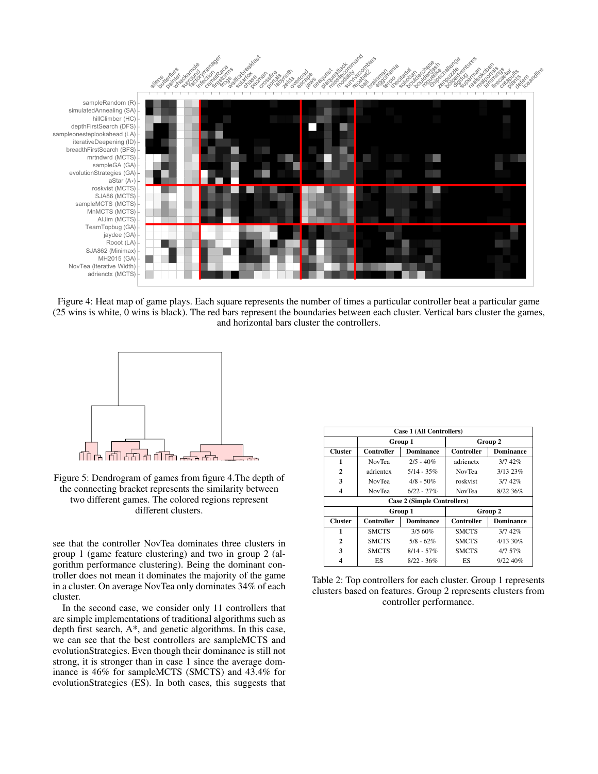

Figure 4: Heat map of game plays. Each square represents the number of times a particular controller beat a particular game (25 wins is white, 0 wins is black). The red bars represent the boundaries between each cluster. Vertical bars cluster the games, and horizontal bars cluster the controllers.



Figure 5: Dendrogram of games from figure 4.The depth of the connecting bracket represents the similarity between two different games. The colored regions represent different clusters.

see that the controller NovTea dominates three clusters in group 1 (game feature clustering) and two in group 2 (algorithm performance clustering). Being the dominant controller does not mean it dominates the majority of the game in a cluster. On average NovTea only dominates 34% of each cluster.

In the second case, we consider only 11 controllers that are simple implementations of traditional algorithms such as depth first search, A\*, and genetic algorithms. In this case, we can see that the best controllers are sampleMCTS and evolutionStrategies. Even though their dominance is still not strong, it is stronger than in case 1 since the average dominance is 46% for sampleMCTS (SMCTS) and 43.4% for evolutionStrategies (ES). In both cases, this suggests that

| Case 1 (All Controllers)    |               |                  |               |                  |  |  |
|-----------------------------|---------------|------------------|---------------|------------------|--|--|
|                             | Group 1       |                  | Group 2       |                  |  |  |
| <b>Cluster</b>              | Controller    | <b>Dominance</b> | Controller    | <b>Dominance</b> |  |  |
| 1                           | <b>NovTea</b> | $2/5 - 40\%$     | adrienctx     | 3/742%           |  |  |
| $\mathbf{2}$                | adrientex     | $5/14 - 35\%$    | <b>NovTea</b> | 3/1323%          |  |  |
| 3                           | <b>NovTea</b> | $4/8 - 50\%$     | roskvist      | 3/742%           |  |  |
| 4                           | <b>NovTea</b> | $6/22 - 27%$     | <b>NovTea</b> | 8/22.36%         |  |  |
| Case 2 (Simple Controllers) |               |                  |               |                  |  |  |
|                             | Group 1       |                  |               | Group 2          |  |  |
| <b>Cluster</b>              |               |                  |               |                  |  |  |
|                             | Controller    | <b>Dominance</b> | Controller    | <b>Dominance</b> |  |  |
| 1                           | <b>SMCTS</b>  | 3/560%           | <b>SMCTS</b>  | 3/742%           |  |  |
| $\mathbf{2}$                | <b>SMCTS</b>  | $5/8 - 62\%$     | <b>SMCTS</b>  | 4/13 30%         |  |  |
| 3                           | <b>SMCTS</b>  | $8/14 - 57\%$    | <b>SMCTS</b>  | $4/7.57\%$       |  |  |

Table 2: Top controllers for each cluster. Group 1 represents clusters based on features. Group 2 represents clusters from controller performance.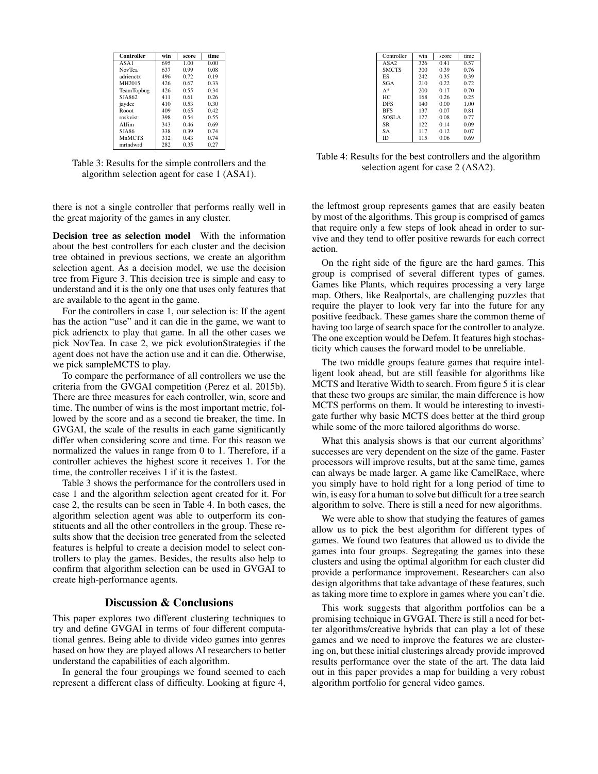| Controller    | win | score | time |
|---------------|-----|-------|------|
| ASA1          | 695 | 1.00  | 0.00 |
| <b>NovTea</b> | 637 | 0.99  | 0.08 |
| adrienctx     | 496 | 0.72  | 0.19 |
| MH2015        | 426 | 0.67  | 0.33 |
| TeamTopbug    | 426 | 0.55  | 0.34 |
| SJA862        | 411 | 0.61  | 0.26 |
| jaydee        | 410 | 0.53  | 0.30 |
| Rooot         | 409 | 0.65  | 0.42 |
| roskvist      | 398 | 0.54  | 0.55 |
| ALIim         | 343 | 0.46  | 0.69 |
| <b>SJA86</b>  | 338 | 0.39  | 0.74 |
| <b>MnMCTS</b> | 312 | 0.43  | 0.74 |
| mrtndwrd      | 282 | 0.35  | 0.27 |

Table 3: Results for the simple controllers and the algorithm selection agent for case 1 (ASA1).

there is not a single controller that performs really well in the great majority of the games in any cluster.

Decision tree as selection model With the information about the best controllers for each cluster and the decision tree obtained in previous sections, we create an algorithm selection agent. As a decision model, we use the decision tree from Figure 3. This decision tree is simple and easy to understand and it is the only one that uses only features that are available to the agent in the game.

For the controllers in case 1, our selection is: If the agent has the action "use" and it can die in the game, we want to pick adrienctx to play that game. In all the other cases we pick NovTea. In case 2, we pick evolutionStrategies if the agent does not have the action use and it can die. Otherwise, we pick sampleMCTS to play.

To compare the performance of all controllers we use the criteria from the GVGAI competition (Perez et al. 2015b). There are three measures for each controller, win, score and time. The number of wins is the most important metric, followed by the score and as a second tie breaker, the time. In GVGAI, the scale of the results in each game significantly differ when considering score and time. For this reason we normalized the values in range from 0 to 1. Therefore, if a controller achieves the highest score it receives 1. For the time, the controller receives 1 if it is the fastest.

Table 3 shows the performance for the controllers used in case 1 and the algorithm selection agent created for it. For case 2, the results can be seen in Table 4. In both cases, the algorithm selection agent was able to outperform its constituents and all the other controllers in the group. These results show that the decision tree generated from the selected features is helpful to create a decision model to select controllers to play the games. Besides, the results also help to confirm that algorithm selection can be used in GVGAI to create high-performance agents.

# Discussion & Conclusions

This paper explores two different clustering techniques to try and define GVGAI in terms of four different computational genres. Being able to divide video games into genres based on how they are played allows AI researchers to better understand the capabilities of each algorithm.

In general the four groupings we found seemed to each represent a different class of difficulty. Looking at figure 4,

| Controller       | win | score | time |
|------------------|-----|-------|------|
| ASA <sub>2</sub> | 326 | 0.41  | 0.57 |
| <b>SMCTS</b>     | 300 | 0.39  | 0.76 |
| ES               | 242 | 0.35  | 0.39 |
| SGA              | 210 | 0.22  | 0.72 |
| $A^*$            | 200 | 0.17  | 0.70 |
| HC.              | 168 | 0.26  | 0.25 |
| <b>DES</b>       | 140 | 0.00  | 1.00 |
| <b>BFS</b>       | 137 | 0.07  | 0.81 |
| SOSLA            | 127 | 0.08  | 0.77 |
| <b>SR</b>        | 122 | 0.14  | 0.09 |
| SА               | 117 | 0.12  | 0.07 |
| ID               | 115 | 0.06  | 0.69 |

Table 4: Results for the best controllers and the algorithm selection agent for case 2 (ASA2).

the leftmost group represents games that are easily beaten by most of the algorithms. This group is comprised of games that require only a few steps of look ahead in order to survive and they tend to offer positive rewards for each correct action.

On the right side of the figure are the hard games. This group is comprised of several different types of games. Games like Plants, which requires processing a very large map. Others, like Realportals, are challenging puzzles that require the player to look very far into the future for any positive feedback. These games share the common theme of having too large of search space for the controller to analyze. The one exception would be Defem. It features high stochasticity which causes the forward model to be unreliable.

The two middle groups feature games that require intelligent look ahead, but are still feasible for algorithms like MCTS and Iterative Width to search. From figure 5 it is clear that these two groups are similar, the main difference is how MCTS performs on them. It would be interesting to investigate further why basic MCTS does better at the third group while some of the more tailored algorithms do worse.

What this analysis shows is that our current algorithms' successes are very dependent on the size of the game. Faster processors will improve results, but at the same time, games can always be made larger. A game like CamelRace, where you simply have to hold right for a long period of time to win, is easy for a human to solve but difficult for a tree search algorithm to solve. There is still a need for new algorithms.

We were able to show that studying the features of games allow us to pick the best algorithm for different types of games. We found two features that allowed us to divide the games into four groups. Segregating the games into these clusters and using the optimal algorithm for each cluster did provide a performance improvement. Researchers can also design algorithms that take advantage of these features, such as taking more time to explore in games where you can't die.

This work suggests that algorithm portfolios can be a promising technique in GVGAI. There is still a need for better algorithms/creative hybrids that can play a lot of these games and we need to improve the features we are clustering on, but these initial clusterings already provide improved results performance over the state of the art. The data laid out in this paper provides a map for building a very robust algorithm portfolio for general video games.